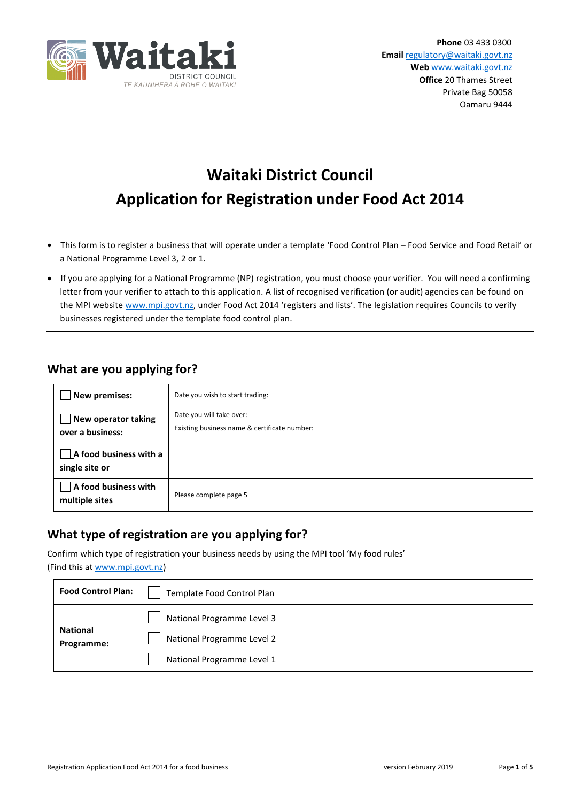

# **Waitaki District Council Application for Registration under Food Act 2014**

- This form is to register a business that will operate under a template 'Food Control Plan Food Service and Food Retail' or a National Programme Level 3, 2 or 1.
- If you are applying for a National Programme (NP) registration, you must choose your verifier. You will need a confirming letter from your verifier to attach to this application. A list of recognised verification (or audit) agencies can be found on the MPI website [www.mpi.govt.nz,](http://www.mpi.govt.nz/) under Food Act 2014 'registers and lists'. The legislation requires Councils to verify businesses registered under the template food control plan.

### **What are you applying for?**

| New premises:                            | Date you wish to start trading:                                          |  |  |
|------------------------------------------|--------------------------------------------------------------------------|--|--|
| New operator taking<br>over a business:  | Date you will take over:<br>Existing business name & certificate number: |  |  |
| A food business with a<br>single site or |                                                                          |  |  |
| A food business with<br>multiple sites   | Please complete page 5                                                   |  |  |

### **What type of registration are you applying for?**

Confirm which type of registration your business needs by using the MPI tool 'My food rules' (Find this at [www.mpi.govt.nz\)](http://www.mpi.govt.nz/)

| <b>Food Control Plan:</b>     | Template Food Control Plan                                                             |  |  |  |  |
|-------------------------------|----------------------------------------------------------------------------------------|--|--|--|--|
| <b>National</b><br>Programme: | National Programme Level 3<br>National Programme Level 2<br>National Programme Level 1 |  |  |  |  |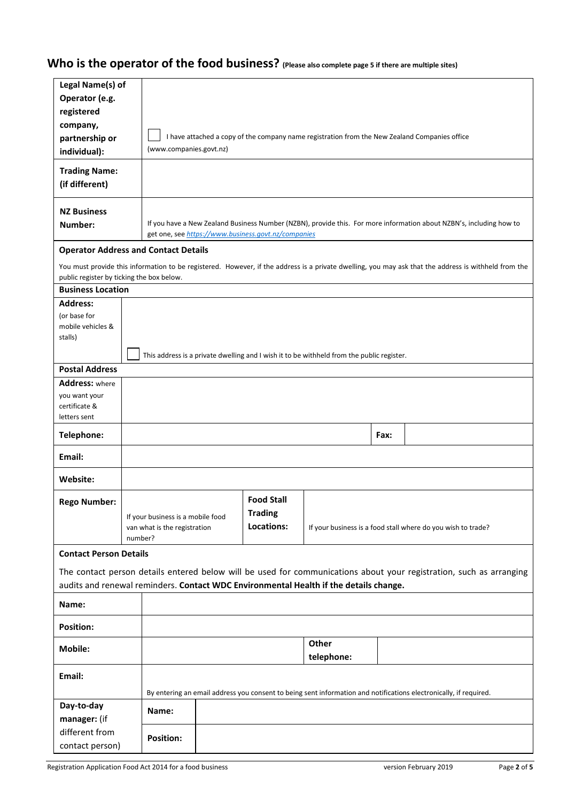## **Who is the operator of the food business? (Please also complete page 5 if there are multiple sites)**

| Legal Name(s) of                                                                                                  |         |                                   |  |                                                     |                                                                                               |      |  |                                                                                                                                                      |
|-------------------------------------------------------------------------------------------------------------------|---------|-----------------------------------|--|-----------------------------------------------------|-----------------------------------------------------------------------------------------------|------|--|------------------------------------------------------------------------------------------------------------------------------------------------------|
| Operator (e.g.                                                                                                    |         |                                   |  |                                                     |                                                                                               |      |  |                                                                                                                                                      |
|                                                                                                                   |         |                                   |  |                                                     |                                                                                               |      |  |                                                                                                                                                      |
| registered                                                                                                        |         |                                   |  |                                                     |                                                                                               |      |  |                                                                                                                                                      |
| company,                                                                                                          |         |                                   |  |                                                     |                                                                                               |      |  |                                                                                                                                                      |
| partnership or                                                                                                    |         |                                   |  |                                                     | I have attached a copy of the company name registration from the New Zealand Companies office |      |  |                                                                                                                                                      |
| individual):                                                                                                      |         | (www.companies.govt.nz)           |  |                                                     |                                                                                               |      |  |                                                                                                                                                      |
| <b>Trading Name:</b>                                                                                              |         |                                   |  |                                                     |                                                                                               |      |  |                                                                                                                                                      |
| (if different)                                                                                                    |         |                                   |  |                                                     |                                                                                               |      |  |                                                                                                                                                      |
|                                                                                                                   |         |                                   |  |                                                     |                                                                                               |      |  |                                                                                                                                                      |
| <b>NZ Business</b>                                                                                                |         |                                   |  |                                                     |                                                                                               |      |  |                                                                                                                                                      |
|                                                                                                                   |         |                                   |  |                                                     |                                                                                               |      |  | If you have a New Zealand Business Number (NZBN), provide this. For more information about NZBN's, including how to                                  |
| Number:                                                                                                           |         |                                   |  | get one, see https://www.business.govt.nz/companies |                                                                                               |      |  |                                                                                                                                                      |
| <b>Operator Address and Contact Details</b>                                                                       |         |                                   |  |                                                     |                                                                                               |      |  |                                                                                                                                                      |
|                                                                                                                   |         |                                   |  |                                                     |                                                                                               |      |  |                                                                                                                                                      |
|                                                                                                                   |         |                                   |  |                                                     |                                                                                               |      |  | You must provide this information to be registered. However, if the address is a private dwelling, you may ask that the address is withheld from the |
| public register by ticking the box below.                                                                         |         |                                   |  |                                                     |                                                                                               |      |  |                                                                                                                                                      |
| <b>Business Location</b>                                                                                          |         |                                   |  |                                                     |                                                                                               |      |  |                                                                                                                                                      |
| <b>Address:</b>                                                                                                   |         |                                   |  |                                                     |                                                                                               |      |  |                                                                                                                                                      |
| (or base for                                                                                                      |         |                                   |  |                                                     |                                                                                               |      |  |                                                                                                                                                      |
| mobile vehicles &<br>stalls)                                                                                      |         |                                   |  |                                                     |                                                                                               |      |  |                                                                                                                                                      |
|                                                                                                                   |         |                                   |  |                                                     |                                                                                               |      |  |                                                                                                                                                      |
|                                                                                                                   |         |                                   |  |                                                     | This address is a private dwelling and I wish it to be withheld from the public register.     |      |  |                                                                                                                                                      |
| <b>Postal Address</b>                                                                                             |         |                                   |  |                                                     |                                                                                               |      |  |                                                                                                                                                      |
| <b>Address:</b> where                                                                                             |         |                                   |  |                                                     |                                                                                               |      |  |                                                                                                                                                      |
| you want your                                                                                                     |         |                                   |  |                                                     |                                                                                               |      |  |                                                                                                                                                      |
| certificate &                                                                                                     |         |                                   |  |                                                     |                                                                                               |      |  |                                                                                                                                                      |
| letters sent                                                                                                      |         |                                   |  |                                                     |                                                                                               |      |  |                                                                                                                                                      |
| Telephone:                                                                                                        |         |                                   |  |                                                     |                                                                                               | Fax: |  |                                                                                                                                                      |
| Email:                                                                                                            |         |                                   |  |                                                     |                                                                                               |      |  |                                                                                                                                                      |
|                                                                                                                   |         |                                   |  |                                                     |                                                                                               |      |  |                                                                                                                                                      |
| Website:                                                                                                          |         |                                   |  |                                                     |                                                                                               |      |  |                                                                                                                                                      |
|                                                                                                                   |         |                                   |  | <b>Food Stall</b>                                   |                                                                                               |      |  |                                                                                                                                                      |
| <b>Rego Number:</b>                                                                                               |         |                                   |  | <b>Trading</b>                                      |                                                                                               |      |  |                                                                                                                                                      |
|                                                                                                                   |         | If your business is a mobile food |  | Locations:                                          |                                                                                               |      |  |                                                                                                                                                      |
|                                                                                                                   | number? | van what is the registration      |  |                                                     | If your business is a food stall where do you wish to trade?                                  |      |  |                                                                                                                                                      |
|                                                                                                                   |         |                                   |  |                                                     |                                                                                               |      |  |                                                                                                                                                      |
| <b>Contact Person Details</b>                                                                                     |         |                                   |  |                                                     |                                                                                               |      |  |                                                                                                                                                      |
|                                                                                                                   |         |                                   |  |                                                     |                                                                                               |      |  | The contact person details entered below will be used for communications about your registration, such as arranging                                  |
|                                                                                                                   |         |                                   |  |                                                     | audits and renewal reminders. Contact WDC Environmental Health if the details change.         |      |  |                                                                                                                                                      |
| Name:                                                                                                             |         |                                   |  |                                                     |                                                                                               |      |  |                                                                                                                                                      |
|                                                                                                                   |         |                                   |  |                                                     |                                                                                               |      |  |                                                                                                                                                      |
| <b>Position:</b>                                                                                                  |         |                                   |  |                                                     |                                                                                               |      |  |                                                                                                                                                      |
| <b>Mobile:</b>                                                                                                    |         |                                   |  |                                                     | Other                                                                                         |      |  |                                                                                                                                                      |
|                                                                                                                   |         |                                   |  |                                                     | telephone:                                                                                    |      |  |                                                                                                                                                      |
| Email:                                                                                                            |         |                                   |  |                                                     |                                                                                               |      |  |                                                                                                                                                      |
| By entering an email address you consent to being sent information and notifications electronically, if required. |         |                                   |  |                                                     |                                                                                               |      |  |                                                                                                                                                      |
| Day-to-day                                                                                                        |         |                                   |  |                                                     |                                                                                               |      |  |                                                                                                                                                      |
|                                                                                                                   |         | Name:                             |  |                                                     |                                                                                               |      |  |                                                                                                                                                      |
| manager: (if                                                                                                      |         |                                   |  |                                                     |                                                                                               |      |  |                                                                                                                                                      |
| different from                                                                                                    |         | <b>Position:</b>                  |  |                                                     |                                                                                               |      |  |                                                                                                                                                      |
| contact person)                                                                                                   |         |                                   |  |                                                     |                                                                                               |      |  |                                                                                                                                                      |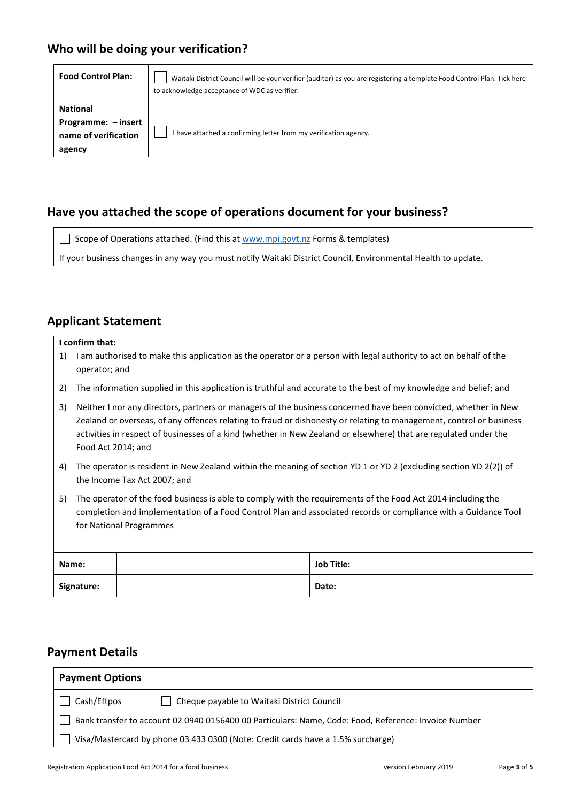### **Who will be doing your verification?**

| <b>Food Control Plan:</b>                                                | Waitaki District Council will be your verifier (auditor) as you are registering a template Food Control Plan. Tick here<br>to acknowledge acceptance of WDC as verifier. |
|--------------------------------------------------------------------------|--------------------------------------------------------------------------------------------------------------------------------------------------------------------------|
| <b>National</b><br>Programme: - insert<br>name of verification<br>agency | I have attached a confirming letter from my verification agency.                                                                                                         |

### **Have you attached the scope of operations document for your business?**

Scope of Operations attached. (Find this a[t www.mpi.govt.nz](http://www.mpi.govt.nz/) Forms & templates) If your business changes in any way you must notify Waitaki District Council, Environmental Health to update.

### **Applicant Statement**

#### **I confirm that:**

- 1) I am authorised to make this application as the operator or a person with legal authority to act on behalf of the operator; and
- 2) The information supplied in this application is truthful and accurate to the best of my knowledge and belief; and
- 3) Neither I nor any directors, partners or managers of the business concerned have been convicted, whether in New Zealand or overseas, of any offences relating to fraud or dishonesty or relating to management, control or business activities in respect of businesses of a kind (whether in New Zealand or elsewhere) that are regulated under the Food Act 2014; and
- 4) The operator is resident in New Zealand within the meaning of section YD 1 or YD 2 (excluding section YD 2(2)) of the Income Tax Act 2007; and
- 5) The operator of the food business is able to comply with the requirements of the Food Act 2014 including the completion and implementation of a Food Control Plan and associated records or compliance with a Guidance Tool for National Programmes

| Name:      | <b>Job Title:</b> |  |
|------------|-------------------|--|
| Signature: | Date:             |  |

### **Payment Details**

| <b>Payment Options</b>                                                                               |  |  |  |  |
|------------------------------------------------------------------------------------------------------|--|--|--|--|
| Cash/Eftpos<br>Cheque payable to Waitaki District Council                                            |  |  |  |  |
| Bank transfer to account 02 0940 0156400 00 Particulars: Name, Code: Food, Reference: Invoice Number |  |  |  |  |
| Visa/Mastercard by phone 03 433 0300 (Note: Credit cards have a 1.5% surcharge)                      |  |  |  |  |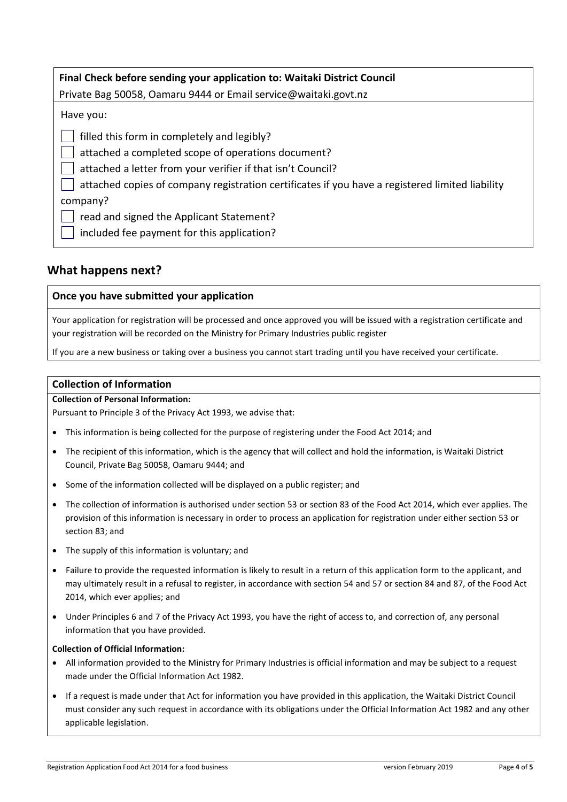| Final Check before sending your application to: Waitaki District Council                        |  |  |  |  |
|-------------------------------------------------------------------------------------------------|--|--|--|--|
| Private Bag 50058, Oamaru 9444 or Email service@waitaki.govt.nz                                 |  |  |  |  |
| Have you:                                                                                       |  |  |  |  |
| filled this form in completely and legibly?                                                     |  |  |  |  |
| attached a completed scope of operations document?                                              |  |  |  |  |
| attached a letter from your verifier if that isn't Council?                                     |  |  |  |  |
| attached copies of company registration certificates if you have a registered limited liability |  |  |  |  |
| company?                                                                                        |  |  |  |  |
| read and signed the Applicant Statement?                                                        |  |  |  |  |
| included fee payment for this application?                                                      |  |  |  |  |

### **What happens next?**

#### **Once you have submitted your application**

Your application for registration will be processed and once approved you will be issued with a registration certificate and your registration will be recorded on the Ministry for Primary Industries public register

If you are a new business or taking over a business you cannot start trading until you have received your certificate.

#### **Collection of Information**

#### **Collection of Personal Information:**

Pursuant to Principle 3 of the Privacy Act 1993, we advise that:

- This information is being collected for the purpose of registering under the Food Act 2014; and
- The recipient of this information, which is the agency that will collect and hold the information, is Waitaki District Council, Private Bag 50058, Oamaru 9444; and
- Some of the information collected will be displayed on a public register; and
- The collection of information is authorised under section 53 or section 83 of the Food Act 2014, which ever applies. The provision of this information is necessary in order to process an application for registration under either section 53 or section 83; and
- The supply of this information is voluntary; and
- Failure to provide the requested information is likely to result in a return of this application form to the applicant, and may ultimately result in a refusal to register, in accordance with section 54 and 57 or section 84 and 87, of the Food Act 2014, which ever applies; and
- Under Principles 6 and 7 of the Privacy Act 1993, you have the right of access to, and correction of, any personal information that you have provided.

#### **Collection of Official Information:**

- All information provided to the Ministry for Primary Industries is official information and may be subject to a request made under the Official Information Act 1982.
- If a request is made under that Act for information you have provided in this application, the Waitaki District Council must consider any such request in accordance with its obligations under the Official Information Act 1982 and any other applicable legislation.